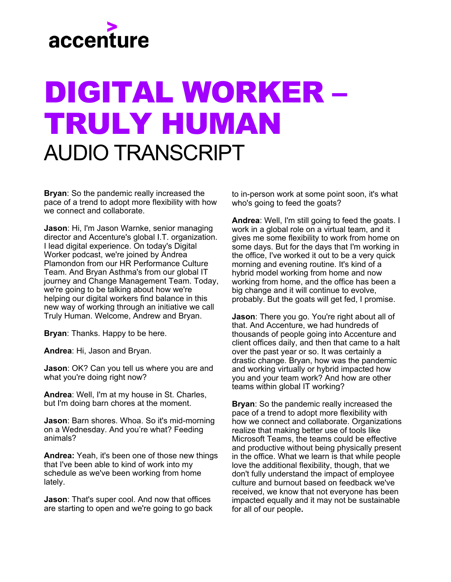

## DIGITAL WORKER – TRULY HUMAN AUDIO TRANSCRIPT

**Bryan**: So the pandemic really increased the pace of a trend to adopt more flexibility with how we connect and collaborate.

**Jason**: Hi, I'm Jason Warnke, senior managing director and Accenture's global I.T. organization. I lead digital experience. On today's Digital Worker podcast, we're joined by Andrea Plamondon from our HR Performance Culture Team. And Bryan Asthma's from our global IT journey and Change Management Team. Today, we're going to be talking about how we're helping our digital workers find balance in this new way of working through an initiative we call Truly Human. Welcome, Andrew and Bryan.

**Bryan**: Thanks. Happy to be here.

**Andrea**: Hi, Jason and Bryan.

**Jason**: OK? Can you tell us where you are and what you're doing right now?

**Andrea**: Well, I'm at my house in St. Charles, but I'm doing barn chores at the moment.

**Jason**: Barn shores. Whoa. So it's mid-morning on a Wednesday. And you're what? Feeding animals?

**Andrea:** Yeah, it's been one of those new things that I've been able to kind of work into my schedule as we've been working from home lately.

**Jason**: That's super cool. And now that offices are starting to open and we're going to go back

to in-person work at some point soon, it's what who's going to feed the goats?

**Andrea**: Well, I'm still going to feed the goats. I work in a global role on a virtual team, and it gives me some flexibility to work from home on some days. But for the days that I'm working in the office, I've worked it out to be a very quick morning and evening routine. It's kind of a hybrid model working from home and now working from home, and the office has been a big change and it will continue to evolve, probably. But the goats will get fed, I promise.

**Jason**: There you go. You're right about all of that. And Accenture, we had hundreds of thousands of people going into Accenture and client offices daily, and then that came to a halt over the past year or so. It was certainly a drastic change. Bryan, how was the pandemic and working virtually or hybrid impacted how you and your team work? And how are other teams within global IT working?

**Bryan**: So the pandemic really increased the pace of a trend to adopt more flexibility with how we connect and collaborate. Organizations realize that making better use of tools like Microsoft Teams, the teams could be effective and productive without being physically present in the office. What we learn is that while people love the additional flexibility, though, that we don't fully understand the impact of employee culture and burnout based on feedback we've received, we know that not everyone has been impacted equally and it may not be sustainable for all of our people**.**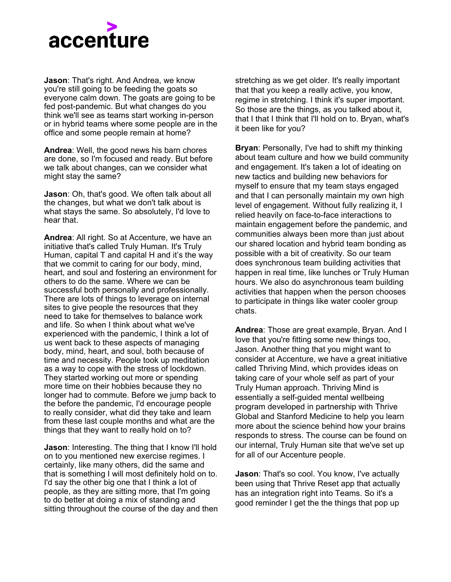

**Jason**: That's right. And Andrea, we know you're still going to be feeding the goats so everyone calm down. The goats are going to be fed post-pandemic. But what changes do you think we'll see as teams start working in-person or in hybrid teams where some people are in the office and some people remain at home?

**Andrea**: Well, the good news his barn chores are done, so I'm focused and ready. But before we talk about changes, can we consider what might stay the same?

**Jason**: Oh, that's good. We often talk about all the changes, but what we don't talk about is what stays the same. So absolutely, I'd love to hear that.

**Andrea**: All right. So at Accenture, we have an initiative that's called Truly Human. It's Truly Human, capital T and capital H and it's the way that we commit to caring for our body, mind, heart, and soul and fostering an environment for others to do the same. Where we can be successful both personally and professionally. There are lots of things to leverage on internal sites to give people the resources that they need to take for themselves to balance work and life. So when I think about what we've experienced with the pandemic, I think a lot of us went back to these aspects of managing body, mind, heart, and soul, both because of time and necessity. People took up meditation as a way to cope with the stress of lockdown. They started working out more or spending more time on their hobbies because they no longer had to commute. Before we jump back to the before the pandemic, I'd encourage people to really consider, what did they take and learn from these last couple months and what are the things that they want to really hold on to?

**Jason**: Interesting. The thing that I know I'll hold on to you mentioned new exercise regimes. I certainly, like many others, did the same and that is something I will most definitely hold on to. I'd say the other big one that I think a lot of people, as they are sitting more, that I'm going to do better at doing a mix of standing and sitting throughout the course of the day and then stretching as we get older. It's really important that that you keep a really active, you know, regime in stretching. I think it's super important. So those are the things, as you talked about it, that I that I think that I'll hold on to. Bryan, what's it been like for you?

**Bryan**: Personally, I've had to shift my thinking about team culture and how we build community and engagement. It's taken a lot of ideating on new tactics and building new behaviors for myself to ensure that my team stays engaged and that I can personally maintain my own high level of engagement. Without fully realizing it, I relied heavily on face-to-face interactions to maintain engagement before the pandemic, and communities always been more than just about our shared location and hybrid team bonding as possible with a bit of creativity. So our team does synchronous team building activities that happen in real time, like lunches or Truly Human hours. We also do asynchronous team building activities that happen when the person chooses to participate in things like water cooler group chats.

**Andrea**: Those are great example, Bryan. And I love that you're fitting some new things too, Jason. Another thing that you might want to consider at Accenture, we have a great initiative called Thriving Mind, which provides ideas on taking care of your whole self as part of your Truly Human approach. Thriving Mind is essentially a self-guided mental wellbeing program developed in partnership with Thrive Global and Stanford Medicine to help you learn more about the science behind how your brains responds to stress. The course can be found on our internal, Truly Human site that we've set up for all of our Accenture people.

**Jason**: That's so cool. You know, I've actually been using that Thrive Reset app that actually has an integration right into Teams. So it's a good reminder I get the the things that pop up